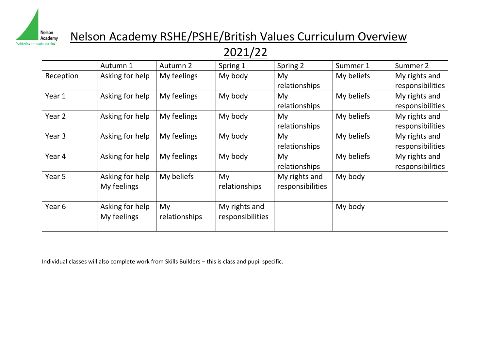

#### Nelson Academy RSHE/PSHE/British Values Curriculum Overview

#### 2021/22

|                   | Autumn 1        | Autumn 2      | Spring 1         | Spring 2         | Summer 1   | Summer 2         |
|-------------------|-----------------|---------------|------------------|------------------|------------|------------------|
| Reception         | Asking for help | My feelings   | My body          | My               | My beliefs | My rights and    |
|                   |                 |               |                  | relationships    |            | responsibilities |
| Year 1            | Asking for help | My feelings   | My body          | My               | My beliefs | My rights and    |
|                   |                 |               |                  | relationships    |            | responsibilities |
| Year <sub>2</sub> | Asking for help | My feelings   | My body          | My               | My beliefs | My rights and    |
|                   |                 |               |                  | relationships    |            | responsibilities |
| Year <sub>3</sub> | Asking for help | My feelings   | My body          | My               | My beliefs | My rights and    |
|                   |                 |               |                  | relationships    |            | responsibilities |
| Year 4            | Asking for help | My feelings   | My body          | My               | My beliefs | My rights and    |
|                   |                 |               |                  | relationships    |            | responsibilities |
| Year 5            | Asking for help | My beliefs    | My               | My rights and    | My body    |                  |
|                   | My feelings     |               | relationships    | responsibilities |            |                  |
| Year <sub>6</sub> | Asking for help | My            | My rights and    |                  | My body    |                  |
|                   | My feelings     | relationships | responsibilities |                  |            |                  |
|                   |                 |               |                  |                  |            |                  |

Individual classes will also complete work from Skills Builders – this is class and pupil specific.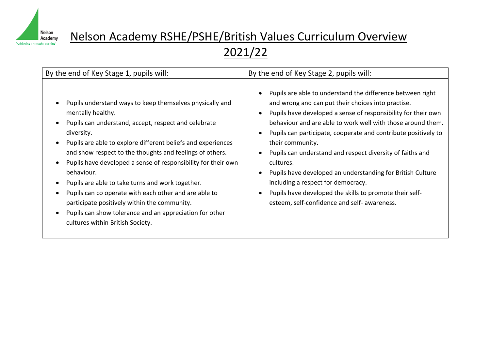

## Nelson Academy RSHE/PSHE/British Values Curriculum Overview 2021/22

| By the end of Key Stage 1, pupils will:                                                                                                                                                                                                                                                                                                                                                                                                                                                                                                                                                                                    | By the end of Key Stage 2, pupils will:                                                                                                                                                                                                                                                                                                                                                                                                                                                                                                                                                                                         |  |  |
|----------------------------------------------------------------------------------------------------------------------------------------------------------------------------------------------------------------------------------------------------------------------------------------------------------------------------------------------------------------------------------------------------------------------------------------------------------------------------------------------------------------------------------------------------------------------------------------------------------------------------|---------------------------------------------------------------------------------------------------------------------------------------------------------------------------------------------------------------------------------------------------------------------------------------------------------------------------------------------------------------------------------------------------------------------------------------------------------------------------------------------------------------------------------------------------------------------------------------------------------------------------------|--|--|
| Pupils understand ways to keep themselves physically and<br>mentally healthy.<br>Pupils can understand, accept, respect and celebrate<br>diversity.<br>Pupils are able to explore different beliefs and experiences<br>and show respect to the thoughts and feelings of others.<br>Pupils have developed a sense of responsibility for their own<br>behaviour.<br>Pupils are able to take turns and work together.<br>Pupils can co operate with each other and are able to<br>participate positively within the community.<br>Pupils can show tolerance and an appreciation for other<br>cultures within British Society. | Pupils are able to understand the difference between right<br>and wrong and can put their choices into practise.<br>Pupils have developed a sense of responsibility for their own<br>behaviour and are able to work well with those around them.<br>Pupils can participate, cooperate and contribute positively to<br>their community.<br>Pupils can understand and respect diversity of faiths and<br>cultures.<br>Pupils have developed an understanding for British Culture<br>including a respect for democracy.<br>Pupils have developed the skills to promote their self-<br>esteem, self-confidence and self- awareness. |  |  |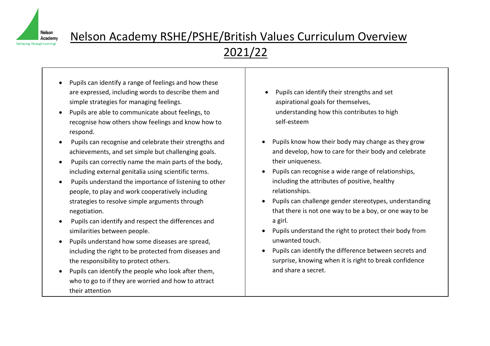

# Nelson Academy RSHE/PSHE/British Values Curriculum Overview

### 2021/22

- Pupils can identify a range of feelings and how these are expressed, including words to describe them and simple strategies for managing feelings.
- Pupils are able to communicate about feelings, to recognise how others show feelings and know how to respond.
- Pupils can recognise and celebrate their strengths and achievements, and set simple but challenging goals.
- Pupils can correctly name the main parts of the body, including external genitalia using scientific terms.
- Pupils understand the importance of listening to other people, to play and work cooperatively including strategies to resolve simple arguments through negotiation.
- Pupils can identify and respect the differences and similarities between people.
- Pupils understand how some diseases are spread, including the right to be protected from diseases and the responsibility to protect others.
- Pupils can identify the people who look after them, who to go to if they are worried and how to attract their attention
- Pupils can identify their strengths and set aspirational goals for themselves, understanding how this contributes to high self-esteem
- Pupils know how their body may change as they grow and develop, how to care for their body and celebrate their uniqueness.
- Pupils can recognise a wide range of relationships, including the attributes of positive, healthy relationships.
- Pupils can challenge gender stereotypes, understanding that there is not one way to be a boy, or one way to be a girl.
- Pupils understand the right to protect their body from unwanted touch.
- Pupils can identify the difference between secrets and surprise, knowing when it is right to break confidence and share a secret.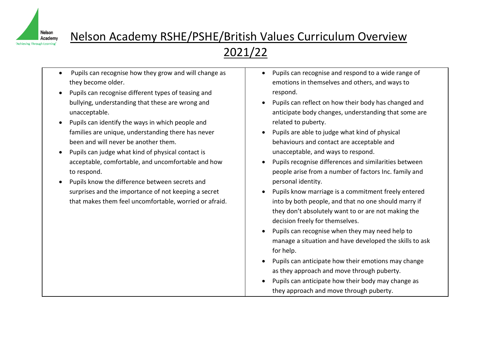

### Nelson Academy RSHE/PSHE/British Values Curriculum Overview 2021/22

#### • Pupils can recognise how they grow and will change as they become older.

- Pupils can recognise different types of teasing and bullying, understanding that these are wrong and unacceptable.
- Pupils can identify the ways in which people and families are unique, understanding there has never been and will never be another them.
- Pupils can judge what kind of physical contact is acceptable, comfortable, and uncomfortable and how to respond.
- Pupils know the difference between secrets and surprises and the importance of not keeping a secret that makes them feel uncomfortable, worried or afraid.
- Pupils can recognise and respond to a wide range of emotions in themselves and others, and ways to respond.
- Pupils can reflect on how their body has changed and anticipate body changes, understanding that some are related to puberty.
- Pupils are able to judge what kind of physical behaviours and contact are acceptable and unacceptable, and ways to respond.
- Pupils recognise differences and similarities between people arise from a number of factors Inc. family and personal identity.
- Pupils know marriage is a commitment freely entered into by both people, and that no one should marry if they don't absolutely want to or are not making the decision freely for themselves.
- Pupils can recognise when they may need help to manage a situation and have developed the skills to ask for help.
- Pupils can anticipate how their emotions may change as they approach and move through puberty.
- Pupils can anticipate how their body may change as they approach and move through puberty.